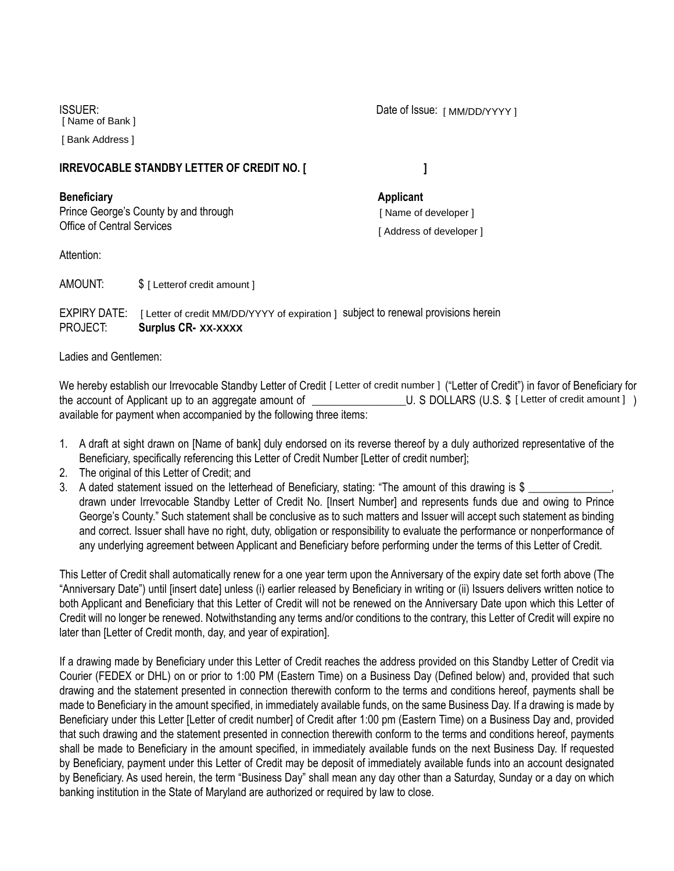ISSUER: [ Name of Bank ]

[ Bank Address ]

## **IRREVOCABLE STANDBY LETTER OF CREDIT NO. [**

**Beneficiary Applicant** Prince George's County by and through Office of Central Services

Attention:

AMOUNT: [ Letterof credit amount ]

EXPIRY DATE: [ Letter of credit MM/DD/YYYY of expiration ] subject to renewal provisions herein PROJECT: **Surplus CR- XX-XXXX** 

Ladies and Gentlemen:

We hereby establish our Irrevocable Standby Letter of Credit [Letter of credit number ] ("Letter of Credit") in favor of Beneficiary for the account of Applicant up to an aggregate amount of available for payment when accompanied by the following three items: U. S DOLLARS (U.S. \$ [ Letter of credit amount ] )

- 1. A draft at sight drawn on [Name of bank] duly endorsed on its reverse thereof by a duly authorized representative of the Beneficiary, specifically referencing this Letter of Credit Number [Letter of credit number];
- 2. The original of this Letter of Credit; and
- 3. A dated statement issued on the letterhead of Beneficiary, stating: "The amount of this drawing is \$ drawn under Irrevocable Standby Letter of Credit No. [Insert Number] and represents funds due and owing to Prince George's County." Such statement shall be conclusive as to such matters and Issuer will accept such statement as binding and correct. Issuer shall have no right, duty, obligation or responsibility to evaluate the performance or nonperformance of any underlying agreement between Applicant and Beneficiary before performing under the terms of this Letter of Credit.

This Letter of Credit shall automatically renew for a one year term upon the Anniversary of the expiry date set forth above (The "Anniversary Date") until [insert date] unless (i) earlier released by Beneficiary in writing or (ii) Issuers delivers written notice to both Applicant and Beneficiary that this Letter of Credit will not be renewed on the Anniversary Date upon which this Letter of Credit will no longer be renewed. Notwithstanding any terms and/or conditions to the contrary, this Letter of Credit will expire no later than [Letter of Credit month, day, and year of expiration].

If a drawing made by Beneficiary under this Letter of Credit reaches the address provided on this Standby Letter of Credit via Courier (FEDEX or DHL) on or prior to 1:00 PM (Eastern Time) on a Business Day (Defined below) and, provided that such drawing and the statement presented in connection therewith conform to the terms and conditions hereof, payments shall be made to Beneficiary in the amount specified, in immediately available funds, on the same Business Day. If a drawing is made by Beneficiary under this Letter [Letter of credit number] of Credit after 1:00 pm (Eastern Time) on a Business Day and, provided that such drawing and the statement presented in connection therewith conform to the terms and conditions hereof, payments shall be made to Beneficiary in the amount specified, in immediately available funds on the next Business Day. If requested by Beneficiary, payment under this Letter of Credit may be deposit of immediately available funds into an account designated by Beneficiary. As used herein, the term "Business Day" shall mean any day other than a Saturday, Sunday or a day on which banking institution in the State of Maryland are authorized or required by law to close.

**]** 

[ Name of developer ] [ Address of developer ]

Date of Issue: [ MM/DD/YYYY ]